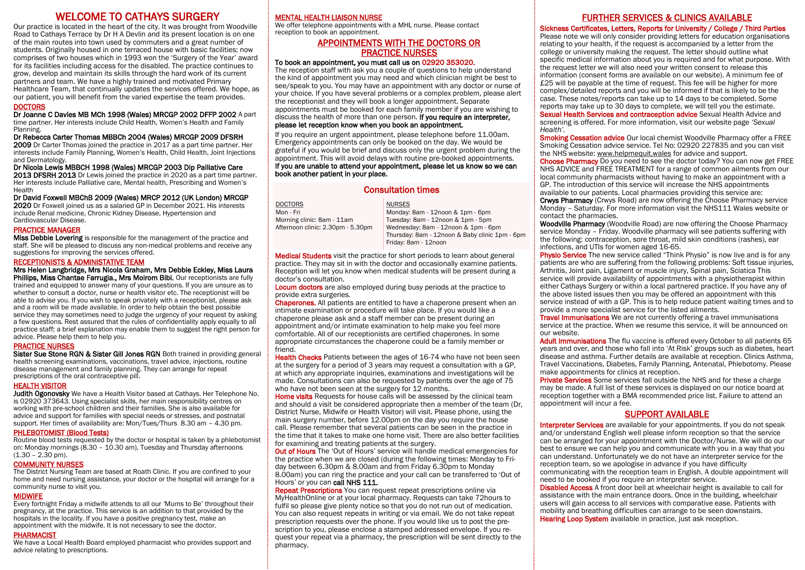# WELCOME TO CATHAYS SURGERY

Our practice is located in the heart of the city. It was brought from Woodville Road to Cathays Terrace by Dr H A Devlin and its present location is on one of the main routes into town used by commuters and a great number of students. Originally housed in one terraced house with basic facilities; now comprises of two houses which in 1993 won the 'Surgery of the Year' award for its facilities including access for the disabled. The practice continues to grow, develop and maintain its skills through the hard work of its current partners and team. We have a highly trained and motivated Primary Healthcare Team, that continually updates the services offered. We hope, as our patient, you will benefit from the varied expertise the team provides.

#### **DOCTORS**

#### Dr Joanne C Davies MB MCh 1998 (Wales) MRCGP 2002 DFFP 2002 A part

time partner. Her interests include Child Health, Women's Health and Family Planning.

Dr Rebecca Carter Thomas MBBCh 2004 (Wales) MRCGP 2009 DFSRH

2009 Dr Carter Thomas joined the practice in 2017 as a part time partner. Her interests include Family Planning, Women's Health, Child Health, Joint Injections and Dermatology.

#### Dr Nicola Lewis MBBCH 1998 (Wales) MRCGP 2003 Dip Palliative Care

2013 DFSRH 2013 Dr Lewis joined the practice in 2020 as a part time partner. Her interests include Palliative care, Mental health, Prescribing and Women's Health

#### Dr David Foxwell MBChB 2009 (Wales) MRCP 2012 (UK London) MRCGP

2020 Dr Foxwell joined us as a salaried GP in December 2021. His interests include Renal medicine, Chronic Kidney Disease, Hypertension and Cardiovascular Disease.

#### PRACTICE MANAGER

Miss Debbie Lovering is responsible for the management of the practice and staff. She will be pleased to discuss any non-medical problems and receive any suggestions for improving the services offered.

#### RECEPTIONISTS & ADMINISTATIVE TEAM

Mrs Helen Langbridge, Mrs Nicola Graham, Mrs Debbie Eckley, Miss Laura Phillips, Miss Chantae Farrugia., Mrs Moirom Bibi. Our receptionists are fully trained and equipped to answer many of your questions. If you are unsure as to whether to consult a doctor, nurse or health visitor etc. The receptionist will be able to advise you. If you wish to speak privately with a receptionist, please ask and a room will be made available. In order to help obtain the best possible service they may sometimes need to judge the urgency of your request by asking a few questions. Rest assured that the rules of confidentiality apply equally to all practice staff; a brief explanation may enable them to suggest the right person for advice. Please help them to help you.

#### PRACTICE NURSES

Sister Sue Stone RGN & Sister Gill Jones RGN Both trained in providing general health screening examinations, vaccinations, travel advice, injections, routine disease management and family planning. They can arrange for repeat prescriptions of the oral contraceptive pill.

#### HEALTH VISITOR

Judith Ogonovsky We have a Health Visitor based at Cathays. Her Telephone No. is 02920 373643. Using specialist skills, her main responsibility centres on working with pre-school children and their families. She is also available for advice and support for families with special needs or stresses, and postnatal support. Her times of availability are: Mon/Tues/Thurs 8.30 am – 4.30 pm.

## PHLEBOTOMIST (Blood Tests)

Routine blood tests requested by the doctor or hospital is taken by a phlebotomist on: Monday mornings (8.30 - 10.30 am), Tuesday and Thursday afternoons  $(1.30 - 2.30)$  pm).

## COMMUNITY NURSES

The District Nursing Team are based at Roath Clinic. If you are confined to your home and need nursing assistance, your doctor or the hospital will arrange for a community nurse to visit you.

## **MIDWIFF**

Every fortnight Friday a midwife attends to all our 'Mums to Be' throughout their pregnancy, at the practice. This service is an addition to that provided by the hospitals in the locality. If you have a positive pregnancy test, make an appointment with the midwife. It is not necessary to see the doctor.

## PHARMACIST

We have a Local Health Board employed pharmacist who provides support and advice relating to prescriptions.

#### MENTAL HEALTH LIAISON NURSE

We offer telephone appointments with a MHL nurse. Please contact reception to book an appointment.

# APPOINTMENTS WITH THE DOCTORS OR PRACTICE NURSES

## To book an appointment, you must call us on 02920 353020.

The reception staff with ask you a couple of questions to help understand the kind of appointment you may need and which clinician might be best to see/speak to you. You may have an appointment with any doctor or nurse of your choice. If you have several problems or a complex problem, please alert the receptionist and they will book a longer appointment. Separate appointments must be booked for each family member if you are wishing to discuss the health of more than one person. If you require an interpreter, please let reception know when you book an appointment.

If you require an urgent appointment, please telephone before 11.00am. Emergency appointments can only be booked on the day. We would be grateful if you would be brief and discuss only the urgent problem during the appointment. This will avoid delays with routine pre-booked appointments. If you are unable to attend your appointment, please let us know so we can book another patient in your place.

# Consultation times NURSES

## DOCTORS

Mon - Fri Morning clinic: 8am - 11am Afternoon clinic: 2.30pm - 5.30pm

Monday: 8am - 12noon & 1pm - 6pm Tuesday: 8am - 12noon & 1pm - 5pm Wednesday: 8am - 12noon & 1pm - 6pm Thursday: 8am - 12noon & Baby clinic 1pm - 6pm Friday: 8am - 12noon

Medical Students visit the practice for short periods to learn about general practice. They may sit in with the doctor and occasionally examine patients. Reception will let you know when medical students will be present during a doctor's consultation.

Locum doctors are also employed during busy periods at the practice to provide extra surgeries.

Chaperones. All patients are entitled to have a chaperone present when an intimate examination or procedure will take place. If you would like a chaperone please ask and a staff member can be present during an appointment and/or intimate examination to help make you feel more comfortable. All of our receptionists are certified chaperones. In some appropriate circumstances the chaperone could be a family member or friend.

**Health Checks** Patients between the ages of 16-74 who have not been seen at the surgery for a period of 3 years may request a consultation with a GP, at which any appropriate inquiries, examinations and investigations will be made. Consultations can also be requested by patients over the age of 75 who have not been seen at the surgery for 12 months.

Home visits Requests for house calls will be assessed by the clinical team and should a visit be considered appropriate then a member of the team (Dr, District Nurse, Midwife or Health Visitor) will visit. Please phone, using the main surgery number, before 12.00pm on the day you require the house call. Please remember that several patients can be seen in the practice in the time that it takes to make one home visit. There are also better facilities for examining and treating patients at the surgery.

**Out of Hours** The 'Out of Hours' service will handle medical emergencies for the practice when we are closed (during the following times: Monday to Friday between 6.30pm & 8.00am and from Friday 6.30pm to Monday 8.00am) you can ring the practice and your call can be transferred to 'Out of Hours' or you can call NHS 111.

Repeat Prescriptions You can request repeat prescriptions online via MyHealthOnline or at your local pharmacy. Requests can take 72hours to fulfil so please give plenty notice so that you do not run out of medication. You can also request repeats in writing or via email. We do not take repeat prescription requests over the phone. If you would like us to post the prescription to you, please enclose a stamped addressed envelope. If you request your repeat via a pharmacy, the prescription will be sent directly to the pharmacy.

# FURTHER SERVICES & CLINICS AVAILABLE

Sickness Certificates, Letters, Reports for University / College / Third Parties

Please note we will only consider providing letters for education organisations relating to your health, if the request is accompanied by a letter from the college or university making the request. The letter should outline what specific medical information about you is required and for what purpose. With the request letter we will also need your written consent to release this information (consent forms are available on our website). A minimum fee of £25 will be payable at the time of request. This fee will be higher for more complex/detailed reports and you will be informed if that is likely to be the case. These notes/reports can take up to 14 days to be completed. Some reports may take up to 30 days to complete, we will tell you the estimate.

Sexual Health Services and contraception advice Sexual Health Advice and screening is offered. For more information, visit our website page *'Sexual Health'.*

**Smoking Cessation advice** Our local chemist Woodville Pharmacy offer a FREE Smoking Cessation advice service. Tel No: 02920 227835 and you can visit the NHS website: www.helpmequit.wales for advice and support. Choose Pharmacy Do you need to see the doctor today? You can now get FREE NHS ADVICE and FREE TREATMENT for a range of common ailments from our

local community pharmacists without having to make an appointment with a GP. The introduction of this service will increase the NHS appointments available to our patients. Local pharmacies providing this service are: Crwys Pharmacy (Crwys Road) are now offering the Choose Pharmacy service Monday – Saturday. For more information visit the NHS111 Wales website or

contact the pharmacies. Woodville Pharmacy (Woodville Road) are now offering the Choose Pharmacy service Monday – Friday. Woodville pharmacy will see patients suffering with the following: contraception, sore throat, mild skin conditions (rashes), ear infections, and UTIs for women aged 16-65.

**Physio Service** The new service called "Think Physio" is now live and is for any patients are who are suffering from the following problems: Soft tissue injuries, Arthritis, Joint pain, Ligament or muscle injury, Spinal pain, Sciatica This service will provide availability of appointments with a physiotherapist within either Cathays Surgery or within a local partnered practice. If you have any of the above listed issues then you may be offered an appointment with this service instead of with a GP. This is to help reduce patient waiting times and to provide a more specialist service for the listed ailments.

**Travel Immunisations** We are not currently offering a travel immunisations service at the practice. When we resume this service, it will be announced on our website.

Adult Immunisations The flu vaccine is offered every October to all patients 65 years and over, and those who fall into 'At Risk' groups such as diabetes, heart disease and asthma. Further details are available at reception. Clinics Asthma, Travel Vaccinations, Diabetes, Family Planning, Antenatal, Phlebotomy. Please make appointments for clinics at reception.

**Private Services** Some services fall outside the NHS and for these a charge may be made. A full list of these services is displayed on our notice board at reception together with a BMA recommended price list. Failure to attend an appointment will incur a fee.

# SUPPORT AVAILABLE

Interpreter Services are available for your appointments. If you do not speak and/or understand English well please inform reception so that the service can be arranged for your appointment with the Doctor/Nurse. We will do our best to ensure we can help you and communicate with you in a way that you can understand. Unfortunately we do not have an interpreter service for the reception team, so we apologise in advance if you have difficulty communicating with the reception team in English. A double appointment will need to be booked if you require an interpreter service.

**Disabled Access** A front door bell at wheelchair height is available to call for assistance with the main entrance doors. Once in the building, wheelchair users will gain access to all services with comparative ease. Patients with mobility and breathing difficulties can arrange to be seen downstairs. Hearing Loop System available in practice, just ask reception.